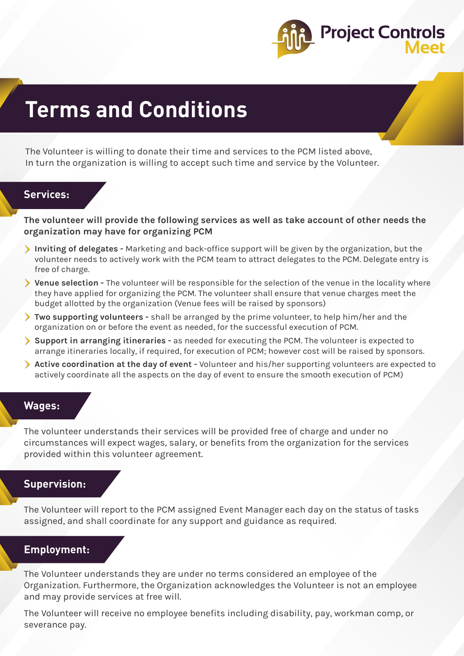

# **Terms and Conditions**

The Volunteer is willing to donate their time and services to the PCM listed above, In turn the organization is willing to accept such time and service by the Volunteer.

# **Services:**

**The volunteer will provide the following services as well as take account of other needs the organization may have for organizing PCM**

- **Inviting of delegates -** Marketing and back-office support will be given by the organization, but the volunteer needs to actively work with the PCM team to attract delegates to the PCM. Delegate entry is free of charge.
- **Venue selection** The volunteer will be responsible for the selection of the venue in the locality where they have applied for organizing the PCM. The volunteer shall ensure that venue charges meet the budget allotted by the organization (Venue fees will be raised by sponsors)
- **Two supporting volunteers** shall be arranged by the prime volunteer, to help him/her and the organization on or before the event as needed, for the successful execution of PCM.
- **Support in arranging itineraries -** as needed for executing the PCM. The volunteer is expected to arrange itineraries locally, if required, for execution of PCM; however cost will be raised by sponsors.
- **Active coordination at the day of event** Volunteer and his/her supporting volunteers are expected to actively coordinate all the aspects on the day of event to ensure the smooth execution of PCM)

## **Wages:**

The volunteer understands their services will be provided free of charge and under no circumstances will expect wages, salary, or benefits from the organization for the services provided within this volunteer agreement.

### **Supervision:**

The Volunteer will report to the PCM assigned Event Manager each day on the status of tasks assigned, and shall coordinate for any support and guidance as required.

# **Employment:**

The Volunteer understands they are under no terms considered an employee of the Organization. Furthermore, the Organization acknowledges the Volunteer is not an employee and may provide services at free will.

The Volunteer will receive no employee benefits including disability, pay, workman comp, or severance pay.